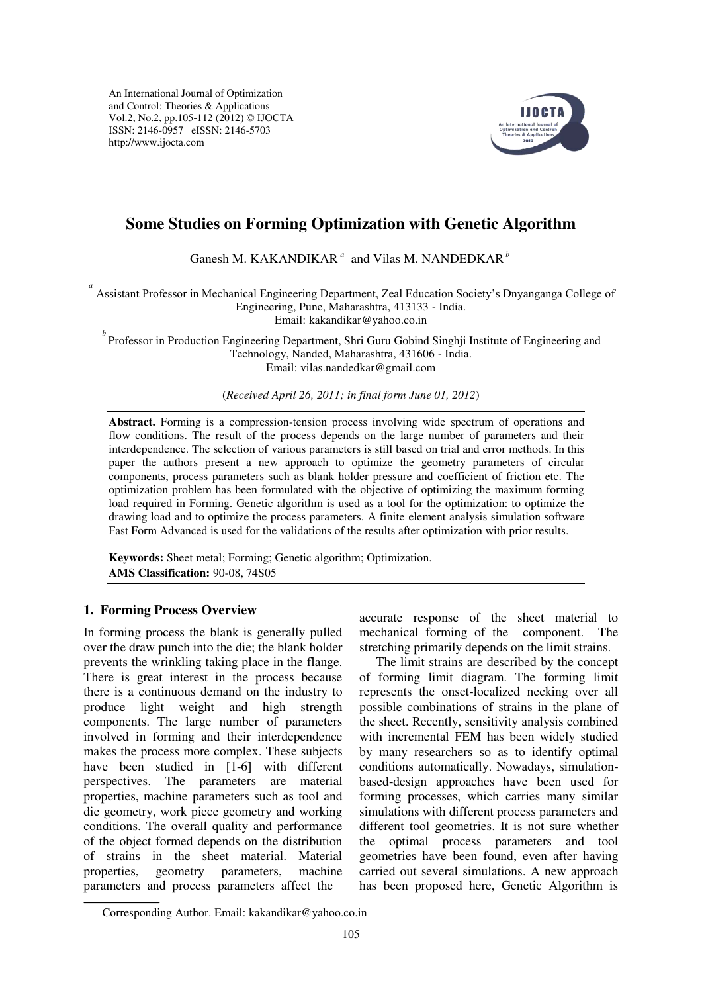An International Journal of Optimization and Control: Theories & Applications Vol.2, No.2, pp.105-112 (2012) © IJOCTA ISSN: 2146-0957 eISSN: 2146-5703 http://www.ijocta.com



# **Some Studies on Forming Optimization with Genetic Algorithm**

Ganesh M. KAKANDIKAR<sup>a</sup> and Vilas M. NANDEDKAR<sup>b</sup>

<sup>a</sup> Assistant Professor in Mechanical Engineering Department, Zeal Education Society's Dnyanganga College of Engineering, Pune, Maharashtra, 413133 - India.

Email: [kakandikar@yahoo.co.in](mailto:Kakandikar@yahoo.co.in) 

<sup>*b*</sup> Professor in Production Engineering Department, Shri Guru Gobind Singhji Institute of Engineering and Technology, Nanded, Maharashtra, 431606 - India. Email: [vilas.nandedkar@gmail.com](mailto:vilas.nandedkar@gmail.com) 

(*Received April 26, 2011; in final form June 01, 2012*)

**Abstract.** Forming is a compression-tension process involving wide spectrum of operations and flow conditions. The result of the process depends on the large number of parameters and their interdependence. The selection of various parameters is still based on trial and error methods. In this paper the authors present a new approach to optimize the geometry parameters of circular components, process parameters such as blank holder pressure and coefficient of friction etc. The optimization problem has been formulated with the objective of optimizing the maximum forming load required in Forming. Genetic algorithm is used as a tool for the optimization: to optimize the drawing load and to optimize the process parameters. A finite element analysis simulation software Fast Form Advanced is used for the validations of the results after optimization with prior results.

**Keywords:** Sheet metal; Forming; Genetic algorithm; Optimization. **AMS Classification:** 90-08, 74S05

## **1. Forming Process Overview**

In forming process the blank is generally pulled over the draw punch into the die; the blank holder prevents the wrinkling taking place in the flange. There is great interest in the process because there is a continuous demand on the industry to produce light weight and high strength components. The large number of parameters involved in forming and their interdependence makes the process more complex. These subjects have been studied in [1-6] with different perspectives. The parameters are material properties, machine parameters such as tool and die geometry, work piece geometry and working conditions. The overall quality and performance of the object formed depends on the distribution of strains in the sheet material. Material properties, geometry parameters, machine parameters and process parameters affect the

accurate response of the sheet material to mechanical forming of the component. The stretching primarily depends on the limit strains.

 The limit strains are described by the concept of forming limit diagram. The forming limit represents the onset-localized necking over all possible combinations of strains in the plane of the sheet. Recently, sensitivity analysis combined with incremental FEM has been widely studied by many researchers so as to identify optimal conditions automatically. Nowadays, simulationbased-design approaches have been used for forming processes, which carries many similar simulations with different process parameters and different tool geometries. It is not sure whether the optimal process parameters and tool geometries have been found, even after having carried out several simulations. A new approach has been proposed here, Genetic Algorithm is

Corresponding Author. Email: kakandikar@yahoo.co.in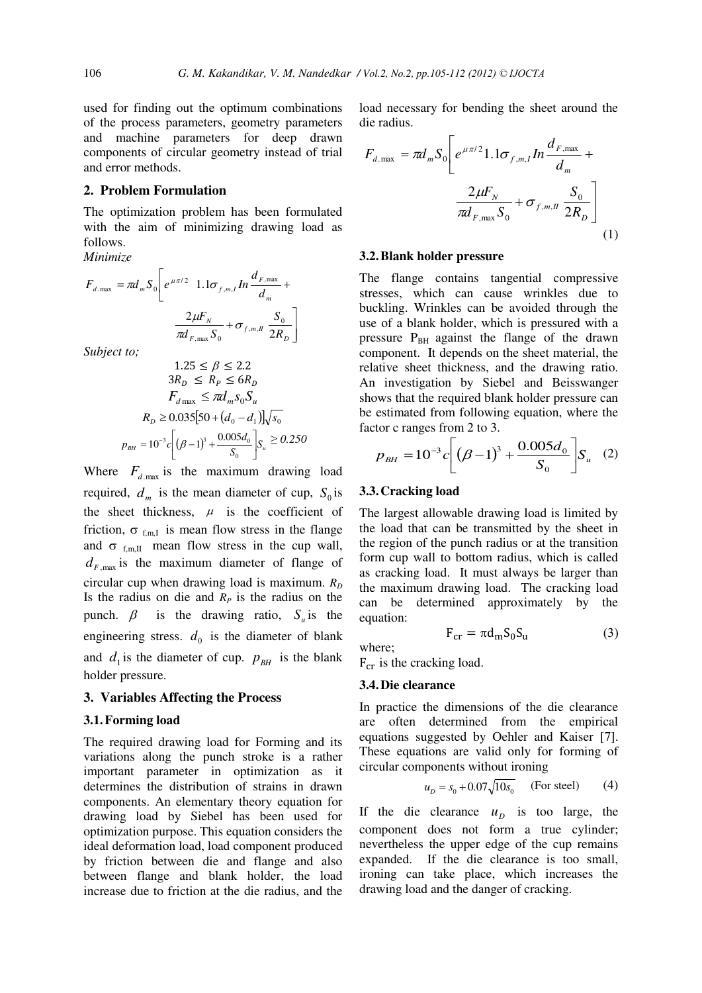used for finding out the optimum combinations of the process parameters, geometry parameters and machine parameters for deep drawn components of circular geometry instead of trial and error methods.

## **2. Problem Formulation**

The optimization problem has been formulated with the aim of minimizing drawing load as follows.

*Minimize* 

$$
F_{d,\max} = \pi d_m S_0 \left[ e^{\mu \pi/2} \quad 1.1 \sigma_{f,m,I} \ln \frac{d_{F,\max}}{d_m} + \frac{2\mu F_N}{\pi d_{F,\max} S_0} + \sigma_{f,m,I} \frac{S_0}{2R_D} \right]
$$

*Subject to;* 

$$
1.25 \le \beta \le 2.2
$$
  
\n
$$
3R_D \le R_P \le 6R_D
$$
  
\n
$$
F_{d_{\text{max}}} \le \pi d_m s_0 S_u
$$
  
\n
$$
R_D \ge 0.035[50 + (d_0 - d_1)]\sqrt{s_0}
$$
  
\n
$$
p_{\text{BH}} = 10^{-3}c\left[ (\beta - 1)^3 + \frac{0.005d_0}{S_0} \right] S_u \ge 0.250
$$

Where  $F_{d, \text{max}}$  is the maximum drawing load required,  $d_m$  is the mean diameter of cup,  $S_0$  is the sheet thickness,  $\mu$  is the coefficient of friction,  $\sigma_{f,m,I}$  is mean flow stress in the flange and  $\sigma$ <sub>f,m,II</sub> mean flow stress in the cup wall,  $d_{F, \text{max}}$  is the maximum diameter of flange of circular cup when drawing load is maximum.  $R_D$ Is the radius on die and  $R_p$  is the radius on the punch.  $\beta$  is the drawing ratio,  $S_{\mu}$  is the engineering stress.  $d_0$  is the diameter of blank and  $d_1$  is the diameter of cup.  $p_{BH}$  is the blank holder pressure.

#### **3. Variables Affecting the Process**

#### **3.1.Forming load**

The required drawing load for Forming and its variations along the punch stroke is a rather important parameter in optimization as it determines the distribution of strains in drawn components. An elementary theory equation for drawing load by Siebel has been used for optimization purpose. This equation considers the ideal deformation load, load component produced by friction between die and flange and also between flange and blank holder, the load increase due to friction at the die radius, and the load necessary for bending the sheet around the die radius.

$$
F_{d,\max} = \pi d_m S_0 \left[ e^{\mu \pi/2} 1.1 \sigma_{f,m,I} \ln \frac{d_{F,\max}}{d_m} + \frac{2 \mu F_N}{\pi d_{F,\max} S_0} + \sigma_{f,m,I} \frac{S_0}{2R_D} \right]
$$
(1)

## **3.2.Blank holder pressure**

The flange contains tangential compressive stresses, which can cause wrinkles due to buckling. Wrinkles can be avoided through the use of a blank holder, which is pressured with a pressure P<sub>BH</sub> against the flange of the drawn component. It depends on the sheet material, the relative sheet thickness, and the drawing ratio. An investigation by Siebel and Beisswanger shows that the required blank holder pressure can be estimated from following equation, where the factor c ranges from 2 to 3.

$$
p_{BH} = 10^{-3} c \left[ \left( \beta - 1 \right)^3 + \frac{0.005 d_0}{S_0} \right] S_u \quad (2)
$$

#### **3.3.Cracking load**

The largest allowable drawing load is limited by the load that can be transmitted by the sheet in the region of the punch radius or at the transition form cup wall to bottom radius, which is called as cracking load. It must always be larger than the maximum drawing load. The cracking load can be determined approximately by the equation:

$$
F_{cr} = \pi d_m S_0 S_u \tag{3}
$$

where;

 $F_{cr}$  is the cracking load.

#### **3.4.Die clearance**

In practice the dimensions of the die clearance are often determined from the empirical equations suggested by Oehler and Kaiser [7]. These equations are valid only for forming of circular components without ironing

$$
u_D = s_0 + 0.07\sqrt{10s_0}
$$
 (For steel) (4)

If the die clearance  $u<sub>p</sub>$  is too large, the component does not form a true cylinder; nevertheless the upper edge of the cup remains expanded. If the die clearance is too small, ironing can take place, which increases the drawing load and the danger of cracking.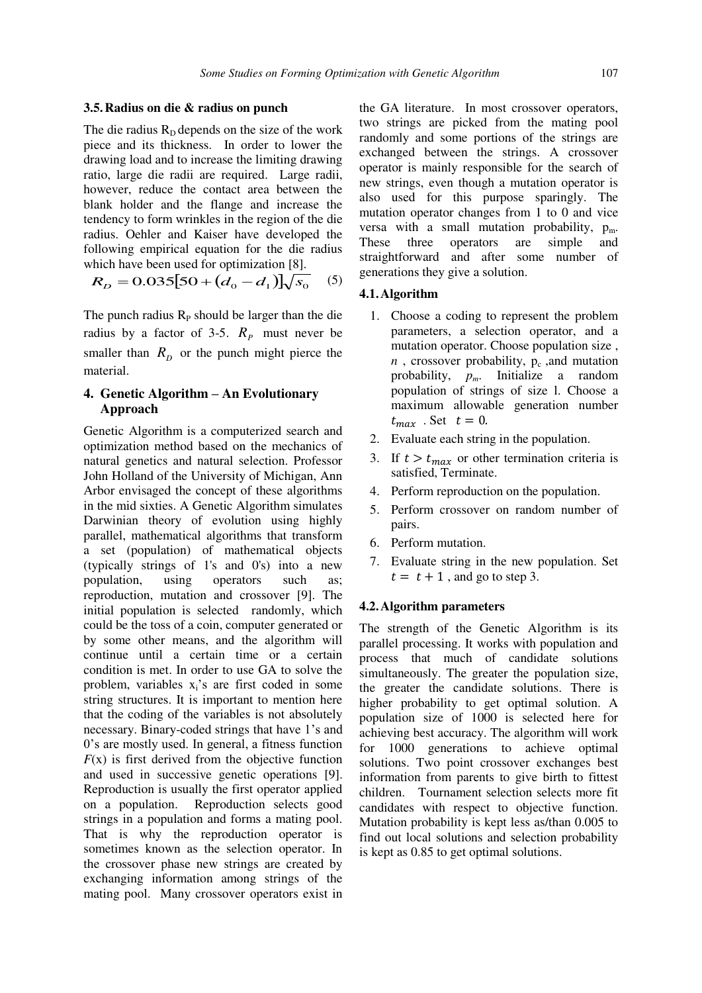## **3.5.Radius on die & radius on punch**

The die radius  $R<sub>D</sub>$  depends on the size of the work piece and its thickness. In order to lower the drawing load and to increase the limiting drawing ratio, large die radii are required. Large radii, however, reduce the contact area between the blank holder and the flange and increase the tendency to form wrinkles in the region of the die radius. Oehler and Kaiser have developed the following empirical equation for the die radius which have been used for optimization [8].

$$
R_D = 0.035[50 + (d_0 - d_1)]\sqrt{s_0}
$$
 (5)

The punch radius  $R<sub>P</sub>$  should be larger than the die radius by a factor of 3-5.  $R_p$  must never be smaller than  $R_D$  or the punch might pierce the material.

## **4. Genetic Algorithm – An Evolutionary Approach**

Genetic Algorithm is a computerized search and optimization method based on the mechanics of natural genetics and natural selection. Professor John Holland of the University of Michigan, Ann Arbor envisaged the concept of these algorithms in the mid sixties. A Genetic Algorithm simulates Darwinian theory of evolution using highly parallel, mathematical algorithms that transform a set (population) of mathematical objects (typically strings of 1's and 0's) into a new population, using operators such as; reproduction, mutation and crossover [9]. The initial population is selected randomly, which could be the toss of a coin, computer generated or by some other means, and the algorithm will continue until a certain time or a certain condition is met. In order to use GA to solve the problem, variables  $x_i$ 's are first coded in some string structures. It is important to mention here that the coding of the variables is not absolutely necessary. Binary-coded strings that have 1's and 0's are mostly used. In general, a fitness function  $F(x)$  is first derived from the objective function and used in successive genetic operations [9]. Reproduction is usually the first operator applied on a population. Reproduction selects good strings in a population and forms a mating pool. That is why the reproduction operator is sometimes known as the selection operator. In the crossover phase new strings are created by exchanging information among strings of the mating pool. Many crossover operators exist in

the GA literature. In most crossover operators, two strings are picked from the mating pool randomly and some portions of the strings are exchanged between the strings. A crossover operator is mainly responsible for the search of new strings, even though a mutation operator is also used for this purpose sparingly. The mutation operator changes from 1 to 0 and vice versa with a small mutation probability,  $p_m$ . These three operators are simple and straightforward and after some number of generations they give a solution.

#### **4.1.Algorithm**

- 1. Choose a coding to represent the problem parameters, a selection operator, and a mutation operator. Choose population size ,  $n$ , crossover probability,  $p_c$ , and mutation probability, *pm*. Initialize a random population of strings of size l. Choose a maximum allowable generation number  $t_{max}$ . Set  $t = 0$ .
- 2. Evaluate each string in the population.
- 3. If  $t > t_{max}$  or other termination criteria is satisfied, Terminate.
- 4. Perform reproduction on the population.
- 5. Perform crossover on random number of pairs.
- 6. Perform mutation.
- 7. Evaluate string in the new population. Set  $t = t + 1$ , and go to step 3.

#### **4.2.Algorithm parameters**

The strength of the Genetic Algorithm is its parallel processing. It works with population and process that much of candidate solutions simultaneously. The greater the population size, the greater the candidate solutions. There is higher probability to get optimal solution. A population size of 1000 is selected here for achieving best accuracy. The algorithm will work for 1000 generations to achieve optimal solutions. Two point crossover exchanges best information from parents to give birth to fittest children. Tournament selection selects more fit candidates with respect to objective function. Mutation probability is kept less as/than 0.005 to find out local solutions and selection probability is kept as 0.85 to get optimal solutions.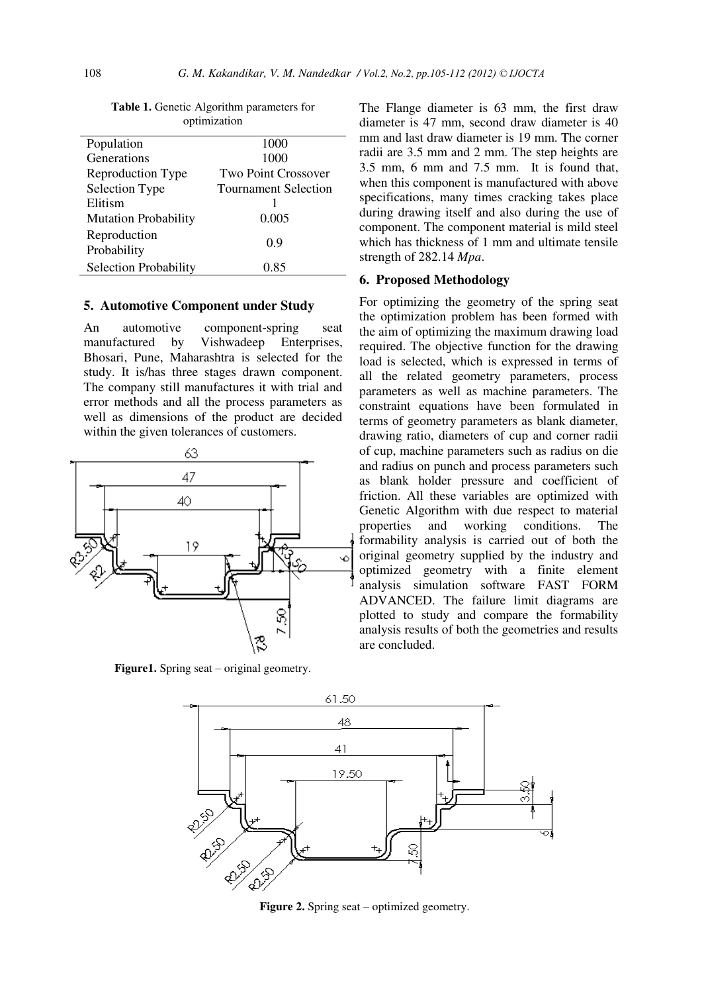| opumization                 |                            |
|-----------------------------|----------------------------|
| Population                  | 1000                       |
| Generations                 | 1000                       |
| Reproduction Type           | <b>Two Point Crossover</b> |
| Selection Type              | Tournament Selection       |
| Elitism                     |                            |
| <b>Mutation Probability</b> | 0.005                      |
| Reproduction<br>Probability | 0.9                        |
| Selection Probability       | 0.85                       |

**Table 1.** Genetic Algorithm parameters for optimization

#### **5. Automotive Component under Study**

An automotive component-spring seat manufactured by Vishwadeep Enterprises, Bhosari, Pune, Maharashtra is selected for the study. It is/has three stages drawn component. The company still manufactures it with trial and error methods and all the process parameters as well as dimensions of the product are decided within the given tolerances of customers.



**Figure1.** Spring seat – original geometry.

The Flange diameter is 63 mm, the first draw diameter is 47 mm, second draw diameter is 40 mm and last draw diameter is 19 mm. The corner radii are 3.5 mm and 2 mm. The step heights are 3.5 mm, 6 mm and 7.5 mm. It is found that, when this component is manufactured with above specifications, many times cracking takes place during drawing itself and also during the use of component. The component material is mild steel which has thickness of 1 mm and ultimate tensile strength of 282.14 *Mpa*.

## **6. Proposed Methodology**

For optimizing the geometry of the spring seat the optimization problem has been formed with the aim of optimizing the maximum drawing load required. The objective function for the drawing load is selected, which is expressed in terms of all the related geometry parameters, process parameters as well as machine parameters. The constraint equations have been formulated in terms of geometry parameters as blank diameter, drawing ratio, diameters of cup and corner radii of cup, machine parameters such as radius on die and radius on punch and process parameters such as blank holder pressure and coefficient of friction. All these variables are optimized with Genetic Algorithm with due respect to material properties and working conditions. The formability analysis is carried out of both the original geometry supplied by the industry and optimized geometry with a finite element analysis simulation software FAST FORM ADVANCED. The failure limit diagrams are plotted to study and compare the formability analysis results of both the geometries and results are concluded.



**Figure 2.** Spring seat – optimized geometry.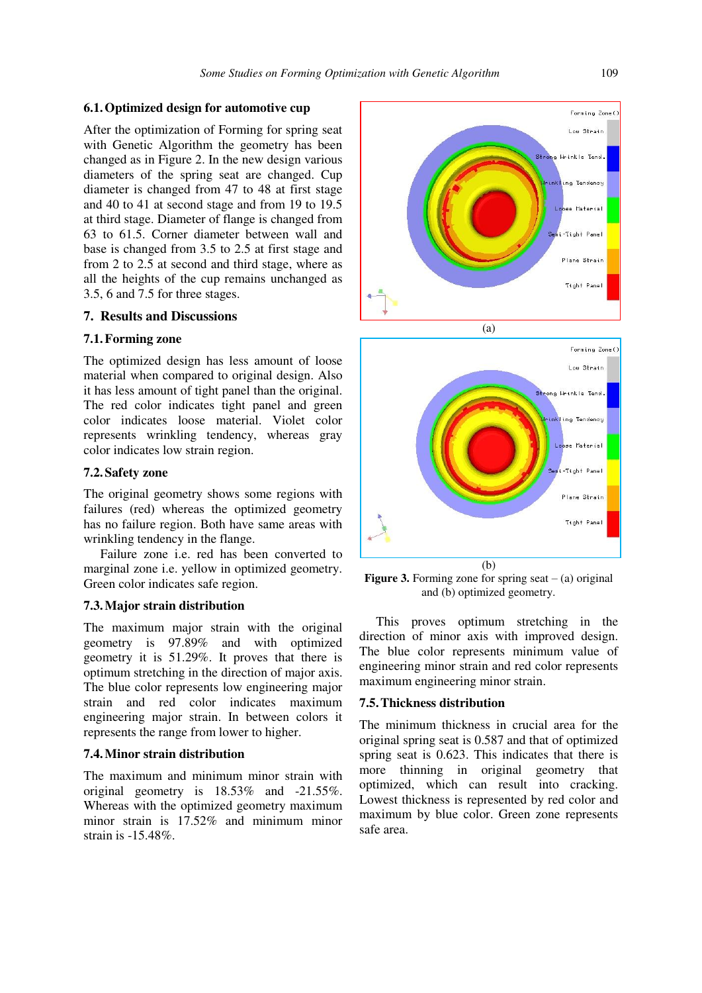## **6.1.Optimized design for automotive cup**

After the optimization of Forming for spring seat with Genetic Algorithm the geometry has been changed as in Figure 2. In the new design various diameters of the spring seat are changed. Cup diameter is changed from 47 to 48 at first stage and 40 to 41 at second stage and from 19 to 19.5 at third stage. Diameter of flange is changed from 63 to 61.5. Corner diameter between wall and base is changed from 3.5 to 2.5 at first stage and from 2 to 2.5 at second and third stage, where as all the heights of the cup remains unchanged as 3.5, 6 and 7.5 for three stages.

## **7. Results and Discussions**

## **7.1.Forming zone**

The optimized design has less amount of loose material when compared to original design. Also it has less amount of tight panel than the original. The red color indicates tight panel and green color indicates loose material. Violet color represents wrinkling tendency, whereas gray color indicates low strain region.

#### **7.2.Safety zone**

The original geometry shows some regions with failures (red) whereas the optimized geometry has no failure region. Both have same areas with wrinkling tendency in the flange.

 Failure zone i.e. red has been converted to marginal zone i.e. yellow in optimized geometry. Green color indicates safe region.

## **7.3.Major strain distribution**

The maximum major strain with the original geometry is 97.89% and with optimized geometry it is 51.29%. It proves that there is optimum stretching in the direction of major axis. The blue color represents low engineering major strain and red color indicates maximum engineering major strain. In between colors it represents the range from lower to higher.

#### **7.4.Minor strain distribution**

The maximum and minimum minor strain with original geometry is 18.53% and -21.55%. Whereas with the optimized geometry maximum minor strain is 17.52% and minimum minor strain is  $-15.48\%$ 



 $(b)$ **Figure 3.** Forming zone for spring seat  $-$  (a) original and (b) optimized geometry.

(a)

 This proves optimum stretching in the direction of minor axis with improved design. The blue color represents minimum value of engineering minor strain and red color represents maximum engineering minor strain.

## **7.5.Thickness distribution**

The minimum thickness in crucial area for the original spring seat is 0.587 and that of optimized spring seat is 0.623. This indicates that there is more thinning in original geometry that optimized, which can result into cracking. Lowest thickness is represented by red color and maximum by blue color. Green zone represents safe area.

Forming Zone() Low Strain

Strong Wrinkle Tend

inkling Tendency

Loose Material

mi-Tight Panel

Plane Strain

Tight Panel

Forming Zone() Low Strain

Strong Wrinkle Tend.

inkling Tendency

Loose Material

.<br>Tight Panel

Plane Strain

Tight Pane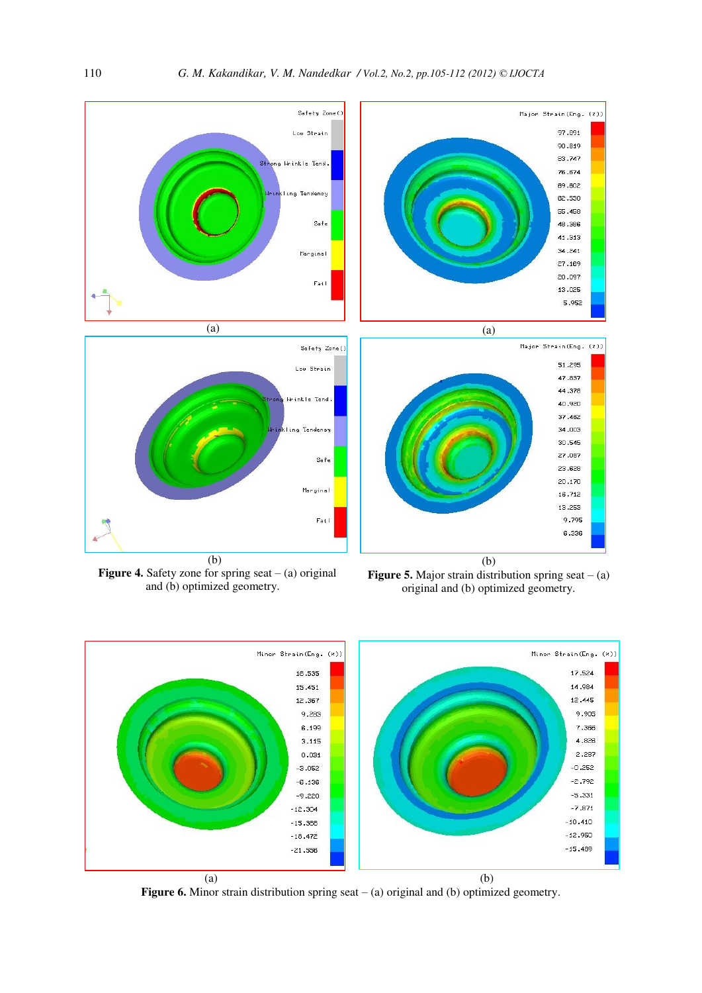



Figure 6. Minor strain distribution spring seat – (a) original and (b) optimized geometry.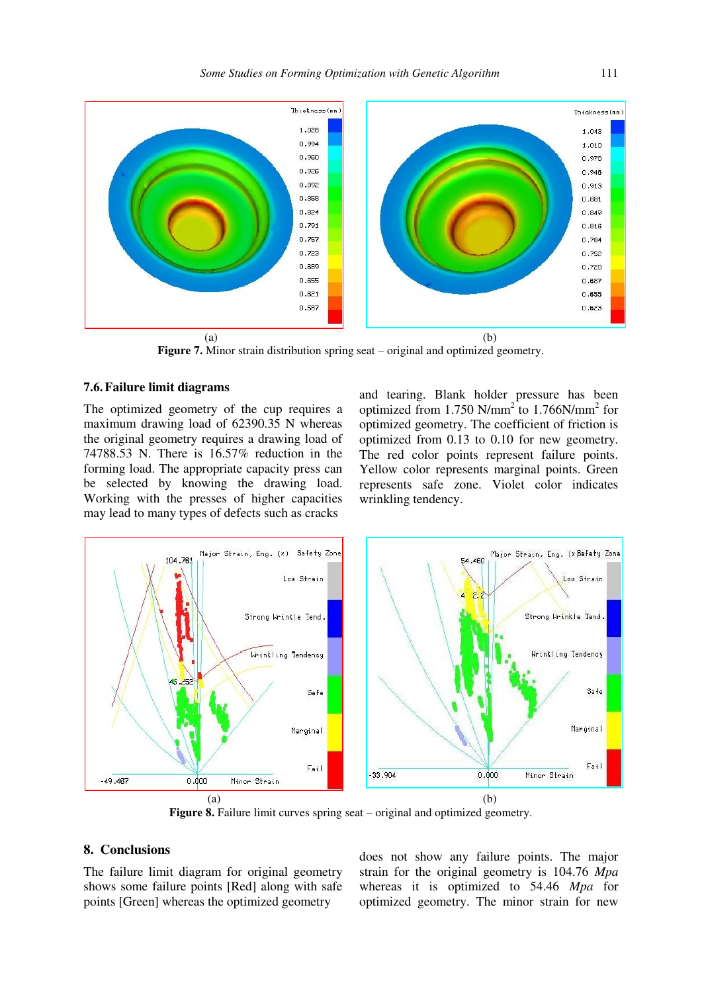

**Figure 7.** Minor strain distribution spring seat – original and optimized geometry.

## **7.6.Failure limit diagrams**

The optimized geometry of the cup requires a maximum drawing load of 62390.35 N whereas the original geometry requires a drawing load of 74788.53 N. There is 16.57% reduction in the forming load. The appropriate capacity press can be selected by knowing the drawing load. Working with the presses of higher capacities may lead to many types of defects such as cracks

and tearing. Blank holder pressure has been optimized from 1.750 N/mm<sup>2</sup> to 1.766N/mm<sup>2</sup> for optimized geometry. The coefficient of friction is optimized from 0.13 to 0.10 for new geometry. The red color points represent failure points. Yellow color represents marginal points. Green represents safe zone. Violet color indicates wrinkling tendency.



**Figure 8.** Failure limit curves spring seat – original and optimized geometry.

## **8. Conclusions**

The failure limit diagram for original geometry shows some failure points [Red] along with safe points [Green] whereas the optimized geometry

does not show any failure points. The major strain for the original geometry is 104.76 *Mpa* whereas it is optimized to 54.46 *Mpa* for optimized geometry. The minor strain for new